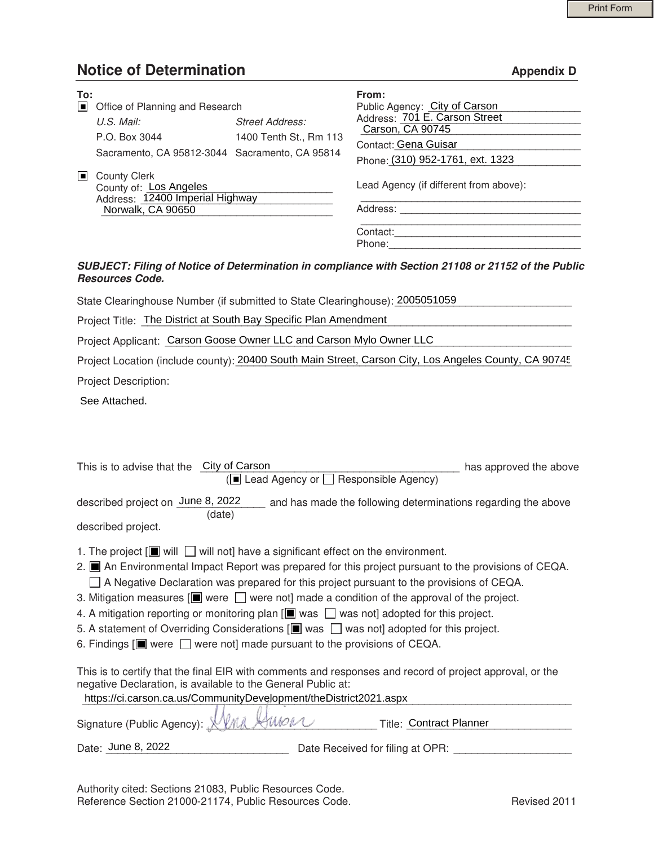## **Notice of Determination Appendix D Appendix D**

| To:<br>▣ | Office of Planning and Research                                                                       |                        | From:<br>Public Agency: City of Carson             |
|----------|-------------------------------------------------------------------------------------------------------|------------------------|----------------------------------------------------|
|          | U.S. Mail:                                                                                            | <b>Street Address:</b> | Address: 701 E. Carson Street<br>Carson, CA 90745  |
|          | P.O. Box 3044                                                                                         | 1400 Tenth St., Rm 113 |                                                    |
|          | Sacramento, CA 95812-3044 Sacramento, CA 95814                                                        |                        | Contact: Gena Guisar                               |
|          |                                                                                                       |                        | Phone: (310) 952-1761, ext. 1323                   |
| Iш       | <b>County Clerk</b><br>County of: Los Angeles<br>Address: 12400 Imperial Highway<br>Norwalk, CA 90650 |                        | Lead Agency (if different from above):<br>Address: |
|          |                                                                                                       |                        | Contact:<br>Phone:                                 |

## *SUBJECT: Filing of Notice of Determination in compliance with Section 21108 or 21152 of the Public Resources Code.*

|  | □ Office of Planning and Research                                                                                                 |                                                  | Public Agency: City of Carson                                                                                                                                                                                                                                                                                                                                                                                                                                                                                                                             |
|--|-----------------------------------------------------------------------------------------------------------------------------------|--------------------------------------------------|-----------------------------------------------------------------------------------------------------------------------------------------------------------------------------------------------------------------------------------------------------------------------------------------------------------------------------------------------------------------------------------------------------------------------------------------------------------------------------------------------------------------------------------------------------------|
|  | U.S. Mail:                                                                                                                        | <b>Street Address:</b><br>1400 Tenth St., Rm 113 | Address: 701 E. Carson Street<br>Carson, CA 90745                                                                                                                                                                                                                                                                                                                                                                                                                                                                                                         |
|  | P.O. Box 3044                                                                                                                     |                                                  | Contact: Gena Guisar                                                                                                                                                                                                                                                                                                                                                                                                                                                                                                                                      |
|  | Sacramento, CA 95812-3044 Sacramento, CA 95814                                                                                    |                                                  | Phone: (310) 952-1761, ext. 1323                                                                                                                                                                                                                                                                                                                                                                                                                                                                                                                          |
|  | County Clerk<br>County of: Los Angeles<br>Address: 12400 Imperial Highway                                                         |                                                  | Lead Agency (if different from above):                                                                                                                                                                                                                                                                                                                                                                                                                                                                                                                    |
|  |                                                                                                                                   |                                                  |                                                                                                                                                                                                                                                                                                                                                                                                                                                                                                                                                           |
|  | Norwalk, CA 90650                                                                                                                 |                                                  |                                                                                                                                                                                                                                                                                                                                                                                                                                                                                                                                                           |
|  |                                                                                                                                   |                                                  | Contact:                                                                                                                                                                                                                                                                                                                                                                                                                                                                                                                                                  |
|  |                                                                                                                                   |                                                  | Phone: 2008 2009 2010 2020 2021 2022 2023 2024 2022 2022 2023 2024 2022 2023 2024 2022 2023 2024 2022 2023 20                                                                                                                                                                                                                                                                                                                                                                                                                                             |
|  | <b>Resources Code.</b>                                                                                                            |                                                  | SUBJECT: Filing of Notice of Determination in compliance with Section 21108 or 21152 of the Public                                                                                                                                                                                                                                                                                                                                                                                                                                                        |
|  | State Clearinghouse Number (if submitted to State Clearinghouse): 2005051059                                                      |                                                  |                                                                                                                                                                                                                                                                                                                                                                                                                                                                                                                                                           |
|  | Project Title: The District at South Bay Specific Plan Amendment                                                                  |                                                  |                                                                                                                                                                                                                                                                                                                                                                                                                                                                                                                                                           |
|  | Project Applicant: Carson Goose Owner LLC and Carson Mylo Owner LLC                                                               |                                                  |                                                                                                                                                                                                                                                                                                                                                                                                                                                                                                                                                           |
|  |                                                                                                                                   |                                                  | Project Location (include county): 20400 South Main Street, Carson City, Los Angeles County, CA 90745                                                                                                                                                                                                                                                                                                                                                                                                                                                     |
|  | Project Description:                                                                                                              |                                                  |                                                                                                                                                                                                                                                                                                                                                                                                                                                                                                                                                           |
|  | See Attached.                                                                                                                     |                                                  |                                                                                                                                                                                                                                                                                                                                                                                                                                                                                                                                                           |
|  | This is to advise that the City of Carson                                                                                         | (■ Lead Agency or □ Responsible Agency)          | has approved the above                                                                                                                                                                                                                                                                                                                                                                                                                                                                                                                                    |
|  | (date)<br>described project.                                                                                                      |                                                  | described project on June 8, 2022 and has made the following determinations regarding the above                                                                                                                                                                                                                                                                                                                                                                                                                                                           |
|  | 1. The project $[\blacksquare]$ will $\blacksquare$ will not] have a significant effect on the environment.                       |                                                  |                                                                                                                                                                                                                                                                                                                                                                                                                                                                                                                                                           |
|  | 6. Findings $[\blacksquare]$ were $\Box$ were not] made pursuant to the provisions of CEQA.                                       |                                                  | 2. ■ An Environmental Impact Report was prepared for this project pursuant to the provisions of CEQA.<br>□ A Negative Declaration was prepared for this project pursuant to the provisions of CEQA.<br>3. Mitigation measures $[\blacksquare]$ were $\Box$ were not] made a condition of the approval of the project.<br>4. A mitigation reporting or monitoring plan $[\blacksquare$ was $\blacksquare$ was not] adopted for this project.<br>5. A statement of Overriding Considerations $[\blacksquare]$ was $\Box$ was not] adopted for this project. |
|  | negative Declaration, is available to the General Public at:<br>https://ci.carson.ca.us/CommunityDevelopment/theDistrict2021.aspx |                                                  | This is to certify that the final EIR with comments and responses and record of project approval, or the                                                                                                                                                                                                                                                                                                                                                                                                                                                  |
|  | Signature (Public Agency): <u>U</u>                                                                                               |                                                  | Title: Contract Planner                                                                                                                                                                                                                                                                                                                                                                                                                                                                                                                                   |
|  | Date: June 8, 2022                                                                                                                |                                                  |                                                                                                                                                                                                                                                                                                                                                                                                                                                                                                                                                           |
|  |                                                                                                                                   |                                                  |                                                                                                                                                                                                                                                                                                                                                                                                                                                                                                                                                           |

Authority cited: Sections 21083, Public Resources Code. Reference Section 21000-21174, Public Resources Code. The Revised 2011 Revised 2011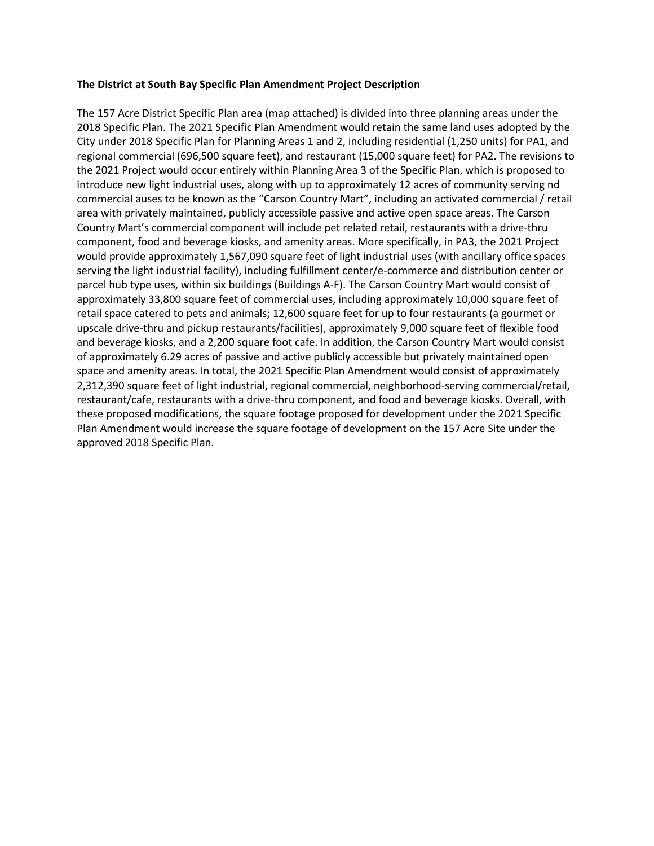## **The District at South Bay Specific Plan Amendment Project Description**

The 157 Acre District Specific Plan area (map attached) is divided into three planning areas under the 2018 Specific Plan. The 2021 Specific Plan Amendment would retain the same land uses adopted by the City under 2018 Specific Plan for Planning Areas 1 and 2, including residential (1,250 units) for PA1, and regional commercial (696,500 square feet), and restaurant (15,000 square feet) for PA2. The revisions to the 2021 Project would occur entirely within Planning Area 3 of the Specific Plan, which is proposed to introduce new light industrial uses, along with up to approximately 12 acres of community serving nd commercial auses to be known as the "Carson Country Mart", including an activated commercial / retail area with privately maintained, publicly accessible passive and active open space areas. The Carson Country Mart's commercial component will include pet related retail, restaurants with a drive-thru component, food and beverage kiosks, and amenity areas. More specifically, in PA3, the 2021 Project would provide approximately 1,567,090 square feet of light industrial uses (with ancillary office spaces serving the light industrial facility), including fulfillment center/e-commerce and distribution center or parcel hub type uses, within six buildings (Buildings A-F). The Carson Country Mart would consist of approximately 33,800 square feet of commercial uses, including approximately 10,000 square feet of retail space catered to pets and animals; 12,600 square feet for up to four restaurants (a gourmet or upscale drive-thru and pickup restaurants/facilities), approximately 9,000 square feet of flexible food and beverage kiosks, and a 2,200 square foot cafe. In addition, the Carson Country Mart would consist of approximately 6.29 acres of passive and active publicly accessible but privately maintained open space and amenity areas. In total, the 2021 Specific Plan Amendment would consist of approximately 2,312,390 square feet of light industrial, regional commercial, neighborhood-serving commercial/retail, restaurant/cafe, restaurants with a drive-thru component, and food and beverage kiosks. Overall, with these proposed modifications, the square footage proposed for development under the 2021 Specific Plan Amendment would increase the square footage of development on the 157 Acre Site under the approved 2018 Specific Plan.